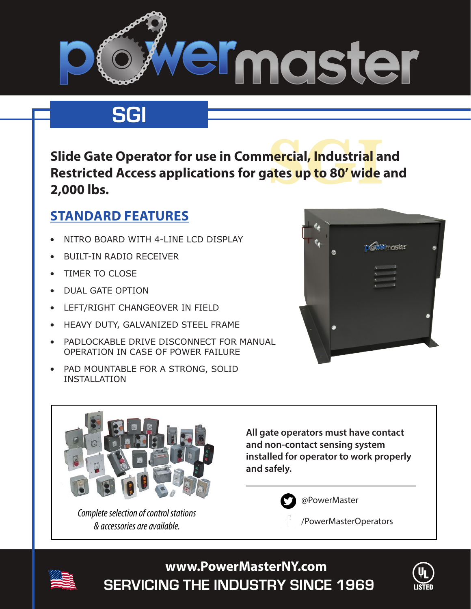

# **SGI**

n<mark>ercial, Industrial a</mark><br>ates up to 80' wide **Slide Gate Operator for use in Commercial, Industrial and Restricted Access applications for gates up to 80' wide and 2,000 lbs.**

### **STANDARD FEATURES**

- NITRO BOARD WITH 4-LINE LCD DISPLAY
- **BUILT-IN RADIO RECEIVER**
- TIMER TO CLOSE
- • DUAL GATE OPTION
- • LEFT/RIGHT CHANGEOVER IN FIELD
- HEAVY DUTY, GALVANIZED STEEL FRAME
- PADLOCKABLE DRIVE DISCONNECT FOR MANUAL OPERATION IN CASE OF POWER FAILURE
- PAD MOUNTABLE FOR A STRONG, SOLID INSTALLATION





*Complete selection of control stations & accessories are available.*

**All gate operators must have contact and non-contact sensing system installed for operator to work properly and safely.** 



@PowerMaster

/PowerMasterOperators



**SERVICING THE INDUSTRY SINCE 1969 www.PowerMasterNY.com**